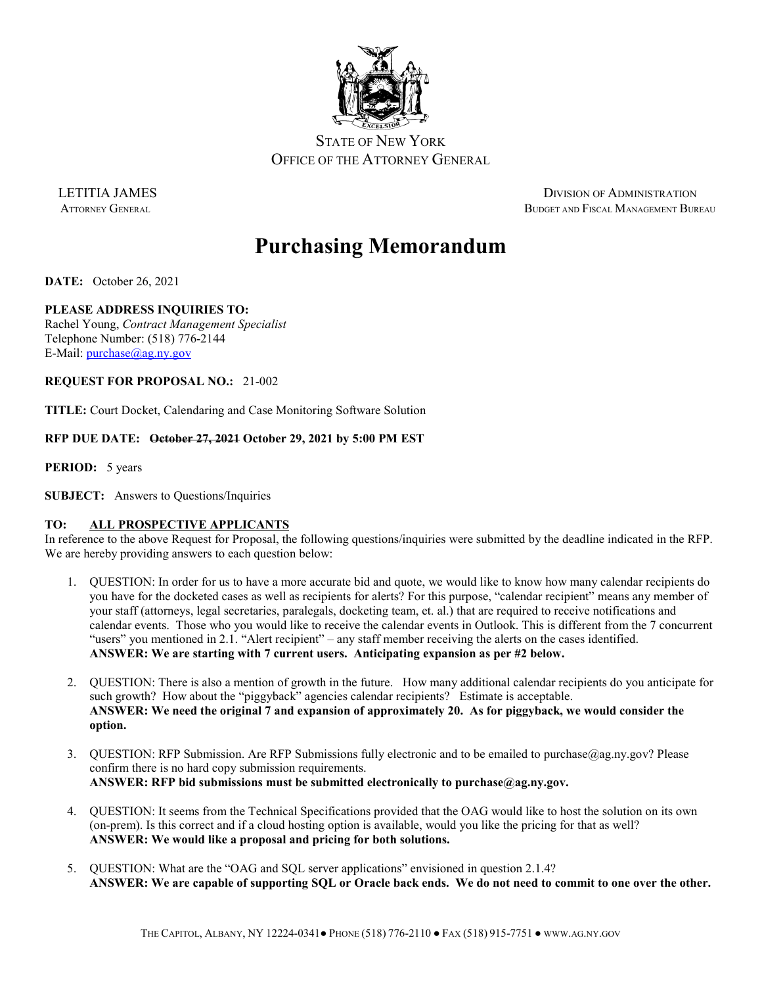

OFFICE OF THE ATTORNEY GENERAL

LETITIA JAMES DIVISION OF ADMINISTRATION ATTORNEY GENERAL BUDGET AND FISCAL MANAGEMENT BUREAU

# **Purchasing Memorandum**

**DATE:** October 26, 2021

# **PLEASE ADDRESS INQUIRIES TO:**

Rachel Young, *Contract Management Specialist* Telephone Number: (518) 776-2144 E-Mail: [purchase@ag.ny.gov](mailto:purchase@ag.ny.gov)

### **REQUEST FOR PROPOSAL NO.:** 21-002

**TITLE:** Court Docket, Calendaring and Case Monitoring Software Solution

# **RFP DUE DATE: October 27, 2021 October 29, 2021 by 5:00 PM EST**

**PERIOD:** 5 years

**SUBJECT:** Answers to Questions/Inquiries

# **TO: ALL PROSPECTIVE APPLICANTS**

In reference to the above Request for Proposal, the following questions/inquiries were submitted by the deadline indicated in the RFP. We are hereby providing answers to each question below:

- 1. QUESTION: In order for us to have a more accurate bid and quote, we would like to know how many calendar recipients do you have for the docketed cases as well as recipients for alerts? For this purpose, "calendar recipient" means any member of your staff (attorneys, legal secretaries, paralegals, docketing team, et. al.) that are required to receive notifications and calendar events. Those who you would like to receive the calendar events in Outlook. This is different from the 7 concurrent "users" you mentioned in 2.1. "Alert recipient" – any staff member receiving the alerts on the cases identified. **ANSWER: We are starting with 7 current users. Anticipating expansion as per #2 below.**
- 2. QUESTION: There is also a mention of growth in the future. How many additional calendar recipients do you anticipate for such growth? How about the "piggyback" agencies calendar recipients? Estimate is acceptable. **ANSWER: We need the original 7 and expansion of approximately 20. As for piggyback, we would consider the option.**
- 3. QUESTION: RFP Submission. Are RFP Submissions fully electronic and to be emailed to purchase@ag.ny.gov? Please confirm there is no hard copy submission requirements. **ANSWER: RFP bid submissions must be submitted electronically to purchase@ag.ny.gov.**
- 4. QUESTION: It seems from the Technical Specifications provided that the OAG would like to host the solution on its own (on-prem). Is this correct and if a cloud hosting option is available, would you like the pricing for that as well? **ANSWER: We would like a proposal and pricing for both solutions.**
- 5. QUESTION: What are the "OAG and SQL server applications" envisioned in question 2.1.4? **ANSWER: We are capable of supporting SQL or Oracle back ends. We do not need to commit to one over the other.**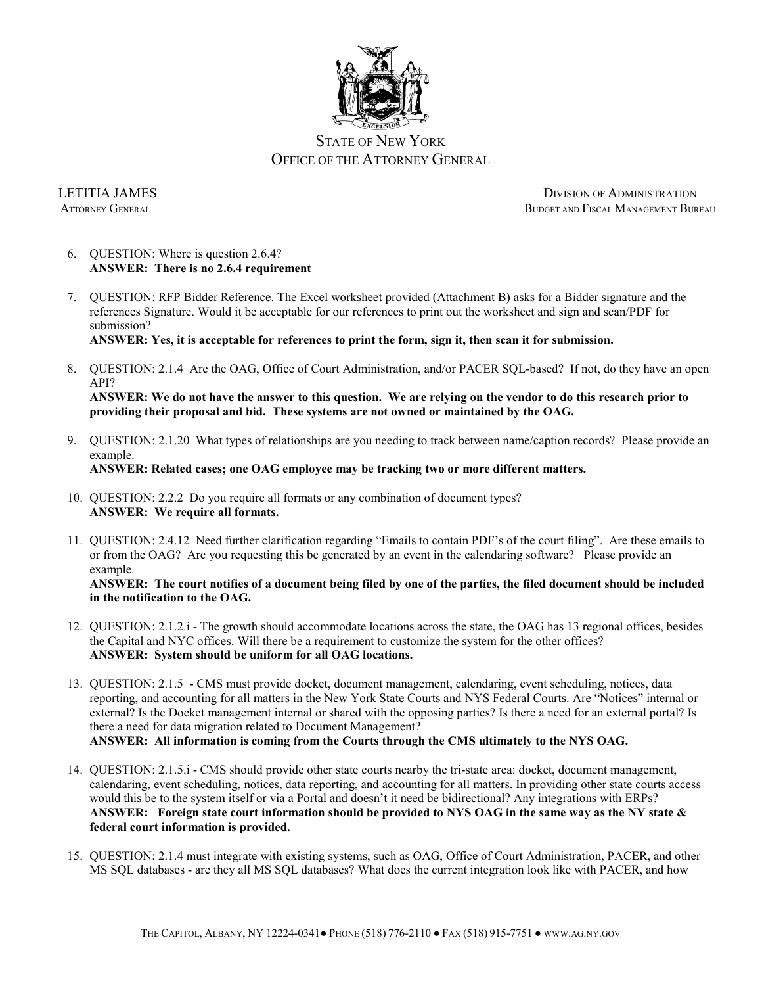

LETITIA JAMES DIVISION OF ADMINISTRATION ATTORNEY GENERAL BUDGET AND FISCAL MANAGEMENT BUREAU

- 6. QUESTION: Where is question 2.6.4? **ANSWER: There is no 2.6.4 requirement**
- 7. QUESTION: RFP Bidder Reference. The Excel worksheet provided (Attachment B) asks for a Bidder signature and the references Signature. Would it be acceptable for our references to print out the worksheet and sign and scan/PDF for submission?

**ANSWER: Yes, it is acceptable for references to print the form, sign it, then scan it for submission.** 

8. QUESTION: 2.1.4 Are the OAG, Office of Court Administration, and/or PACER SQL-based? If not, do they have an open API?

**ANSWER: We do not have the answer to this question. We are relying on the vendor to do this research prior to providing their proposal and bid. These systems are not owned or maintained by the OAG.**

9. QUESTION: 2.1.20 What types of relationships are you needing to track between name/caption records? Please provide an example. **ANSWER: Related cases; one OAG employee may be tracking two or more different matters.** 

- 10. QUESTION: 2.2.2 Do you require all formats or any combination of document types? **ANSWER: We require all formats.**
- 11. QUESTION: 2.4.12 Need further clarification regarding "Emails to contain PDF's of the court filing". Are these emails to or from the OAG? Are you requesting this be generated by an event in the calendaring software? Please provide an example.

**ANSWER: The court notifies of a document being filed by one of the parties, the filed document should be included in the notification to the OAG.**

- 12. QUESTION: 2.1.2.i The growth should accommodate locations across the state, the OAG has 13 regional offices, besides the Capital and NYC offices. Will there be a requirement to customize the system for the other offices? **ANSWER: System should be uniform for all OAG locations.**
- 13. QUESTION: 2.1.5 CMS must provide docket, document management, calendaring, event scheduling, notices, data reporting, and accounting for all matters in the New York State Courts and NYS Federal Courts. Are "Notices" internal or external? Is the Docket management internal or shared with the opposing parties? Is there a need for an external portal? Is there a need for data migration related to Document Management? **ANSWER: All information is coming from the Courts through the CMS ultimately to the NYS OAG.**
- 14. QUESTION: 2.1.5.i CMS should provide other state courts nearby the tri-state area: docket, document management, calendaring, event scheduling, notices, data reporting, and accounting for all matters. In providing other state courts access would this be to the system itself or via a Portal and doesn't it need be bidirectional? Any integrations with ERPs? **ANSWER: Foreign state court information should be provided to NYS OAG in the same way as the NY state & federal court information is provided.**
- 15. QUESTION: 2.1.4 must integrate with existing systems, such as OAG, Office of Court Administration, PACER, and other MS SQL databases - are they all MS SQL databases? What does the current integration look like with PACER, and how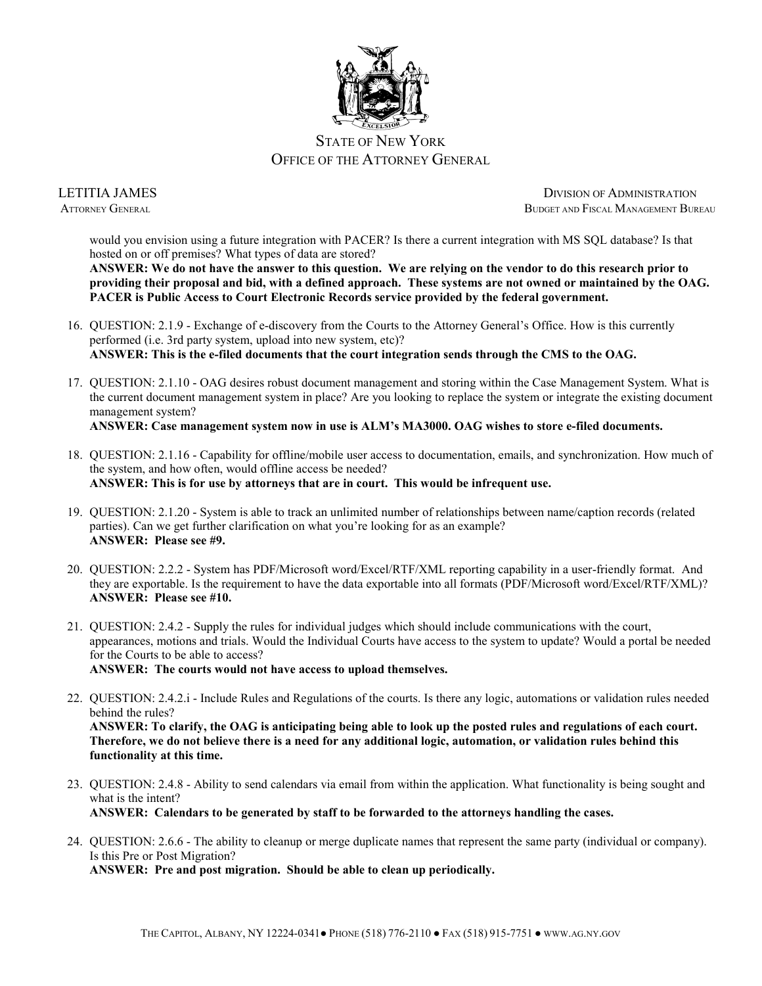

LETITIA JAMES DIVISION OF ADMINISTRATION ATTORNEY GENERAL BUDGET AND FISCAL MANAGEMENT BUREAU

would you envision using a future integration with PACER? Is there a current integration with MS SQL database? Is that hosted on or off premises? What types of data are stored?

**ANSWER: We do not have the answer to this question. We are relying on the vendor to do this research prior to providing their proposal and bid, with a defined approach. These systems are not owned or maintained by the OAG. PACER is Public Access to Court Electronic Records service provided by the federal government.**

- 16. QUESTION: 2.1.9 Exchange of e-discovery from the Courts to the Attorney General's Office. How is this currently performed (i.e. 3rd party system, upload into new system, etc)? **ANSWER: This is the e-filed documents that the court integration sends through the CMS to the OAG.**
- 17. QUESTION: 2.1.10 OAG desires robust document management and storing within the Case Management System. What is the current document management system in place? Are you looking to replace the system or integrate the existing document management system?
	- **ANSWER: Case management system now in use is ALM's MA3000. OAG wishes to store e-filed documents.**
- 18. QUESTION: 2.1.16 Capability for offline/mobile user access to documentation, emails, and synchronization. How much of the system, and how often, would offline access be needed? **ANSWER: This is for use by attorneys that are in court. This would be infrequent use.**
- 19. QUESTION: 2.1.20 System is able to track an unlimited number of relationships between name/caption records (related parties). Can we get further clarification on what you're looking for as an example? **ANSWER: Please see #9.**
- 20. QUESTION: 2.2.2 System has PDF/Microsoft word/Excel/RTF/XML reporting capability in a user-friendly format. And they are exportable. Is the requirement to have the data exportable into all formats (PDF/Microsoft word/Excel/RTF/XML)? **ANSWER: Please see #10.**
- 21. QUESTION: 2.4.2 Supply the rules for individual judges which should include communications with the court, appearances, motions and trials. Would the Individual Courts have access to the system to update? Would a portal be needed for the Courts to be able to access? **ANSWER: The courts would not have access to upload themselves.**
- 22. QUESTION: 2.4.2.i Include Rules and Regulations of the courts. Is there any logic, automations or validation rules needed behind the rules? **ANSWER: To clarify, the OAG is anticipating being able to look up the posted rules and regulations of each court. Therefore, we do not believe there is a need for any additional logic, automation, or validation rules behind this functionality at this time.**
- 23. QUESTION: 2.4.8 Ability to send calendars via email from within the application. What functionality is being sought and what is the intent? **ANSWER: Calendars to be generated by staff to be forwarded to the attorneys handling the cases.**
- 24. QUESTION: 2.6.6 The ability to cleanup or merge duplicate names that represent the same party (individual or company). Is this Pre or Post Migration?

**ANSWER: Pre and post migration. Should be able to clean up periodically.**